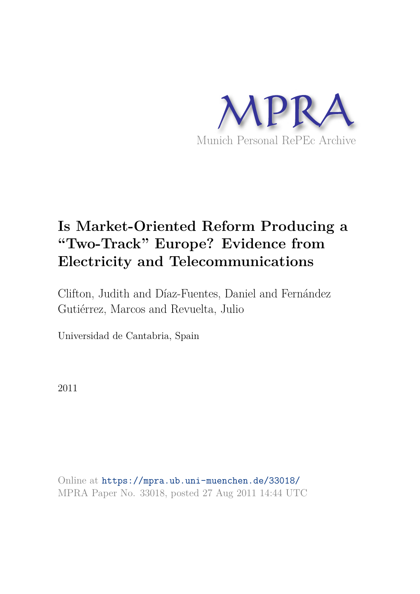

# **Is Market-Oriented Reform Producing a "Two-Track" Europe? Evidence from Electricity and Telecommunications**

Clifton, Judith and Díaz-Fuentes, Daniel and Fernández Gutiérrez, Marcos and Revuelta, Julio

Universidad de Cantabria, Spain

2011

Online at https://mpra.ub.uni-muenchen.de/33018/ MPRA Paper No. 33018, posted 27 Aug 2011 14:44 UTC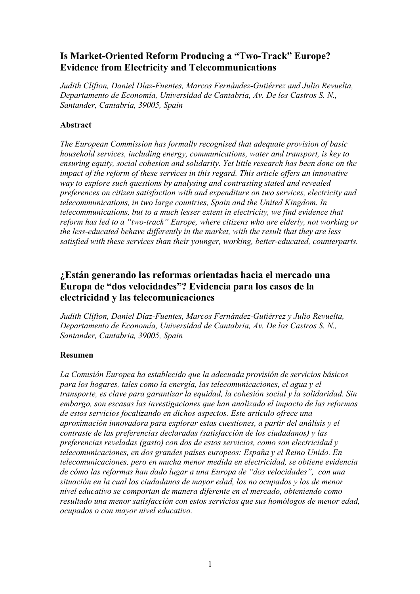# Is Market-Oriented Reform Producing a "Two-Track" Europe? **Evidence from Electricity and Telecommunications**

Judith Clifton, Daniel Díaz-Fuentes, Marcos Fernández-Gutiérrez and Julio Revuelta, Departamento de Economía, Universidad de Cantabria, Av. De los Castros S. N., Santander, Cantabria, 39005, Spain

## **Abstract**

The European Commission has formally recognised that adequate provision of basic household services, including energy, communications, water and transport, is key to ensuring equity, social cohesion and solidarity. Yet little research has been done on the impact of the reform of these services in this regard. This article offers an innovative way to explore such questions by analysing and contrasting stated and revealed preferences on citizen satisfaction with and expenditure on two services, electricity and telecommunications, in two large countries, Spain and the United Kingdom. In telecommunications, but to a much lesser extent in electricity, we find evidence that reform has led to a "two-track" Europe, where citizens who are elderly, not working or the less-educated behave differently in the market, with the result that they are less satisfied with these services than their younger, working, better-educated, counterparts.

## ¿Están generando las reformas orientadas hacia el mercado una Europa de "dos velocidades"? Evidencia para los casos de la electricidad y las telecomunicaciones

Judith Clifton, Daniel Díaz-Fuentes, Marcos Fernández-Gutiérrez y Julio Revuelta, Departamento de Economía, Universidad de Cantabria, Av. De los Castros S. N., Santander, Cantabria, 39005, Spain

## **Resumen**

La Comisión Europea ha establecido que la adecuada provisión de servicios básicos para los hogares, tales como la energía, las telecomunicaciones, el agua y el transporte, es clave para garantizar la equidad, la cohesión social y la solidaridad. Sin embargo, son escasas las investigaciones que han analizado el impacto de las reformas de estos servicios focalizando en dichos aspectos. Este artículo ofrece una aproximación innovadora para explorar estas cuestiones, a partir del análisis y el contraste de las preferencias declaradas (satisfacción de los ciudadanos) y las preferencias reveladas (gasto) con dos de estos servicios, como son electricidad y telecomunicaciones, en dos grandes países europeos: España y el Reino Unido. En telecomunicaciones, pero en mucha menor medida en electricidad, se obtiene evidencia de cómo las reformas han dado lugar a una Europa de "dos velocidades", con una situación en la cual los ciudadanos de mayor edad, los no ocupados y los de menor nivel educativo se comportan de manera diferente en el mercado, obteniendo como resultado una menor satisfacción con estos servicios que sus homólogos de menor edad, ocupados o con mayor nivel educativo.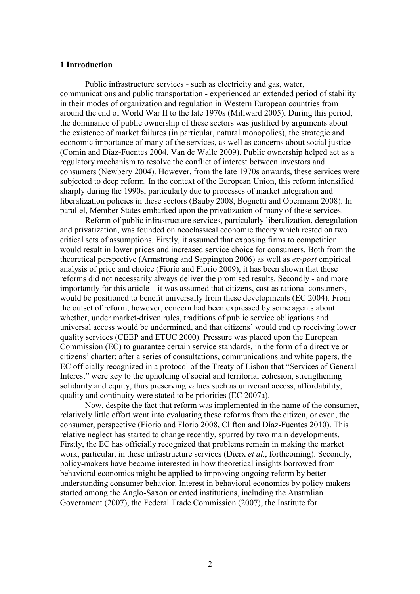#### 1 Introduction

Public infrastructure services - such as electricity and gas, water, communications and public transportation - experienced an extended period of stability in their modes of organization and regulation in Western European countries from around the end of World War II to the late 1970s (Millward 2005). During this period, the dominance of public ownership of these sectors was justified by arguments about the existence of market failures (in particular, natural monopolies), the strategic and economic importance of many of the services, as well as concerns about social justice (Comin and Díaz-Fuentes 2004, Van de Walle 2009). Public ownership helped act as a regulatory mechanism to resolve the conflict of interest between investors and consumers (Newbery 2004). However, from the late 1970s onwards, these services were subjected to deep reform. In the context of the European Union, this reform intensified sharply during the 1990s, particularly due to processes of market integration and liberalization policies in these sectors (Bauby 2008, Bognetti and Obermann 2008). In parallel, Member States embarked upon the privatization of many of these services.

Reform of public infrastructure services, particularly liberalization, deregulation and privatization, was founded on neoclassical economic theory which rested on two critical sets of assumptions. Firstly, it assumed that exposing firms to competition would result in lower prices and increased service choice for consumers. Both from the theoretical perspective (Armstrong and Sappington 2006) as well as *ex-post* empirical analysis of price and choice (Fiorio and Florio 2009), it has been shown that these reforms did not necessarily always deliver the promised results. Secondly - and more importantly for this article – it was assumed that citizens, cast as rational consumers, would be positioned to benefit universally from these developments (EC 2004). From the outset of reform, however, concern had been expressed by some agents about whether, under market-driven rules, traditions of public service obligations and universal access would be undermined, and that citizens' would end up receiving lower quality services (CEEP and ETUC 2000). Pressure was placed upon the European Commission (EC) to guarantee certain service standards, in the form of a directive or citizens' charter: after a series of consultations, communications and white papers, the EC officially recognized in a protocol of the Treaty of Lisbon that "Services of General Interest" were key to the upholding of social and territorial cohesion, strengthening solidarity and equity, thus preserving values such as universal access, affordability, quality and continuity were stated to be priorities (EC 2007a).

Now, despite the fact that reform was implemented in the name of the consumer, relatively little effort went into evaluating these reforms from the citizen, or even, the consumer, perspective (Fiorio and Florio 2008, Clifton and Díaz-Fuentes 2010). This relative neglect has started to change recently, spurred by two main developments. Firstly, the EC has officially recognized that problems remain in making the market work, particular, in these infrastructure services (Dierx *et al.*, forthcoming). Secondly, policy-makers have become interested in how theoretical insights borrowed from behavioral economics might be applied to improving ongoing reform by better understanding consumer behavior. Interest in behavioral economics by policy-makers started among the Anglo-Saxon oriented institutions, including the Australian Government (2007), the Federal Trade Commission (2007), the Institute for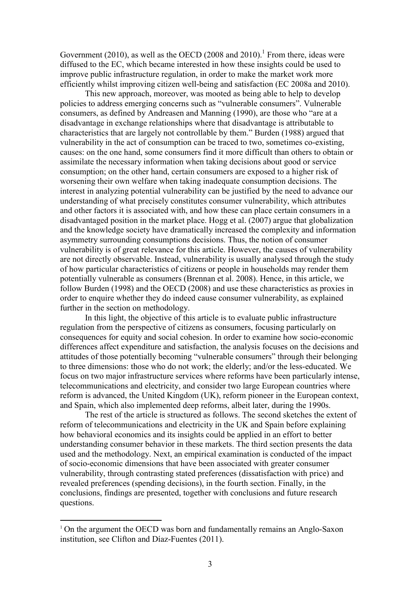Government (2010), as well as the OECD (2008 and 2010).<sup>1</sup> From there, ideas were diffused to the EC, which became interested in how these insights could be used to improve public infrastructure regulation, in order to make the market work more efficiently whilst improving citizen well-being and satisfaction (EC 2008a and 2010).

This new approach, moreover, was mooted as being able to help to develop policies to address emerging concerns such as "vulnerable consumers". Vulnerable consumers, as defined by Andreasen and Manning (1990), are those who "are at a disadvantage in exchange relationships where that disadvantage is attributable to characteristics that are largely not controllable by them." Burden (1988) argued that vulnerability in the act of consumption can be traced to two, sometimes co-existing, causes: on the one hand, some consumers find it more difficult than others to obtain or assimilate the necessary information when taking decisions about good or service consumption; on the other hand, certain consumers are exposed to a higher risk of worsening their own welfare when taking inadequate consumption decisions. The interest in analyzing potential vulnerability can be justified by the need to advance our understanding of what precisely constitutes consumer vulnerability, which attributes and other factors it is associated with, and how these can place certain consumers in a disadvantaged position in the market place. Hogg et al. (2007) argue that globalization and the knowledge society have dramatically increased the complexity and information asymmetry surrounding consumptions decisions. Thus, the notion of consumer vulnerability is of great relevance for this article. However, the causes of vulnerability are not directly observable. Instead, vulnerability is usually analysed through the study of how particular characteristics of citizens or people in households may render them potentially vulnerable as consumers (Brennan et al. 2008). Hence, in this article, we follow Burden (1998) and the OECD (2008) and use these characteristics as proxies in order to enquire whether they do indeed cause consumer vulnerability, as explained further in the section on methodology.

In this light, the objective of this article is to evaluate public infrastructure regulation from the perspective of citizens as consumers, focusing particularly on consequences for equity and social cohesion. In order to examine how socio-economic differences affect expenditure and satisfaction, the analysis focuses on the decisions and attitudes of those potentially becoming "vulnerable consumers" through their belonging to three dimensions: those who do not work; the elderly; and/or the less-educated. We focus on two major infrastructure services where reforms have been particularly intense, telecommunications and electricity, and consider two large European countries where reform is advanced, the United Kingdom (UK), reform pioneer in the European context, and Spain, which also implemented deep reforms, albeit later, during the 1990s.

The rest of the article is structured as follows. The second sketches the extent of reform of telecommunications and electricity in the UK and Spain before explaining how behavioral economics and its insights could be applied in an effort to better understanding consumer behavior in these markets. The third section presents the data used and the methodology. Next, an empirical examination is conducted of the impact of socio-economic dimensions that have been associated with greater consumer vulnerability, through contrasting stated preferences (dissatisfaction with price) and revealed preferences (spending decisions), in the fourth section. Finally, in the conclusions, findings are presented, together with conclusions and future research questions.

 $\frac{1}{1}$  On the argument the OECD was born and fundamentally remains an Anglo-Saxon institution, see Clifton and Díaz-Fuentes (2011).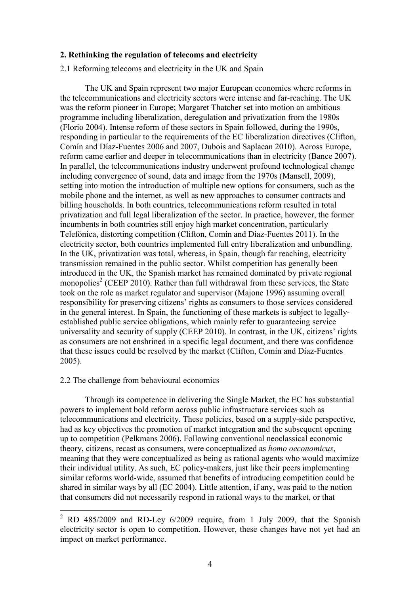#### 2. Rethinking the regulation of telecoms and electricity

2.1 Reforming telecoms and electricity in the UK and Spain

The UK and Spain represent two major European economies where reforms in the telecommunications and electricity sectors were intense and far-reaching. The UK was the reform pioneer in Europe; Margaret Thatcher set into motion an ambitious programme including liberalization, deregulation and privatization from the 1980s (Florio 2004). Intense reform of these sectors in Spain followed, during the 1990s, responding in particular to the requirements of the EC liberalization directives (Clifton, Comin and Diaz-Fuentes 2006 and 2007, Dubois and Saplacan 2010). Across Europe, reform came earlier and deeper in telecommunications than in electricity (Bance 2007). In parallel, the telecommunications industry underwent profound technological change including convergence of sound, data and image from the 1970s (Mansell, 2009). setting into motion the introduction of multiple new options for consumers, such as the mobile phone and the internet, as well as new approaches to consumer contracts and billing households. In both countries, telecommunications reform resulted in total privatization and full legal liberalization of the sector. In practice, however, the former incumbents in both countries still enjoy high market concentration, particularly Telefónica, distorting competition (Clifton, Comín and Díaz-Fuentes 2011). In the electricity sector, both countries implemented full entry liberalization and unbundling. In the UK, privatization was total, whereas, in Spain, though far reaching, electricity transmission remained in the public sector. Whilst competition has generally been introduced in the UK, the Spanish market has remained dominated by private regional monopolies<sup>2</sup> (CEEP 2010). Rather than full withdrawal from these services, the State took on the role as market regulator and supervisor (Maione 1996) assuming overall responsibility for preserving citizens' rights as consumers to those services considered in the general interest. In Spain, the functioning of these markets is subject to legallyestablished public service obligations, which mainly refer to guaranteeing service universality and security of supply (CEEP 2010). In contrast, in the UK, citizens' rights as consumers are not enshrined in a specific legal document, and there was confidence that these issues could be resolved by the market (Clifton, Comin and Diaz-Fuentes  $2005$ ).

#### 2.2 The challenge from behavioural economics

Through its competence in delivering the Single Market, the EC has substantial powers to implement bold reform across public infrastructure services such as telecommunications and electricity. These policies, based on a supply-side perspective, had as key objectives the promotion of market integration and the subsequent opening up to competition (Pelkmans 2006). Following conventional neoclassical economic theory, citizens, recast as consumers, were conceptualized as homo oeconomicus, meaning that they were conceptualized as being as rational agents who would maximize their individual utility. As such, EC policy-makers, just like their peers implementing similar reforms world-wide, assumed that benefits of introducing competition could be shared in similar ways by all (EC 2004). Little attention, if any, was paid to the notion that consumers did not necessarily respond in rational ways to the market, or that

 $2$  RD 485/2009 and RD-Ley 6/2009 require, from 1 July 2009, that the Spanish electricity sector is open to competition. However, these changes have not yet had an impact on market performance.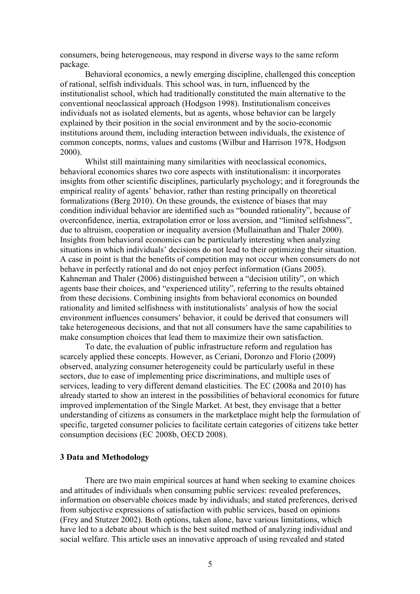consumers, being heterogeneous, may respond in diverse ways to the same reform package.

Behavioral economics, a newly emerging discipline, challenged this conception of rational, selfish individuals. This school was, in turn, influenced by the institutionalist school, which had traditionally constituted the main alternative to the conventional neoclassical approach (Hodgson 1998). Institutionalism conceives individuals not as isolated elements, but as agents, whose behavior can be largely explained by their position in the social environment and by the socio-economic institutions around them, including interaction between individuals, the existence of common concepts, norms, values and customs (Wilbur and Harrison 1978, Hodgson  $2000$ ).

Whilst still maintaining many similarities with neoclassical economics, behavioral economics shares two core aspects with institutionalism: it incorporates insights from other scientific disciplines, particularly psychology; and it foregrounds the empirical reality of agents' behavior, rather than resting principally on theoretical formalizations (Berg 2010). On these grounds, the existence of biases that may condition individual behavior are identified such as "bounded rationality", because of overconfidence, inertia, extrapolation error or loss aversion, and "limited selfishness", due to altruism, cooperation or inequality aversion (Mullainathan and Thaler 2000). Insights from behavioral economics can be particularly interesting when analyzing situations in which individuals' decisions do not lead to their optimizing their situation. A case in point is that the benefits of competition may not occur when consumers do not behave in perfectly rational and do not enjoy perfect information (Gans 2005). Kahneman and Thaler (2006) distinguished between a "decision utility", on which agents base their choices, and "experienced utility", referring to the results obtained from these decisions. Combining insights from behavioral economics on bounded rationality and limited selfishness with institutionalists' analysis of how the social environment influences consumers' behavior, it could be derived that consumers will take heterogeneous decisions, and that not all consumers have the same capabilities to make consumption choices that lead them to maximize their own satisfaction.

To date, the evaluation of public infrastructure reform and regulation has scarcely applied these concepts. However, as Ceriani, Doronzo and Florio (2009) observed, analyzing consumer heterogeneity could be particularly useful in these sectors, due to ease of implementing price discriminations, and multiple uses of services, leading to very different demand elasticities. The EC (2008a and 2010) has already started to show an interest in the possibilities of behavioral economics for future improved implementation of the Single Market. At best, they envisage that a better understanding of citizens as consumers in the marketplace might help the formulation of specific, targeted consumer policies to facilitate certain categories of citizens take better consumption decisions (EC 2008b, OECD 2008).

#### **3 Data and Methodology**

There are two main empirical sources at hand when seeking to examine choices and attitudes of individuals when consuming public services: revealed preferences. information on observable choices made by individuals; and stated preferences, derived from subjective expressions of satisfaction with public services, based on opinions (Frey and Stutzer 2002). Both options, taken alone, have various limitations, which have led to a debate about which is the best suited method of analyzing individual and social welfare. This article uses an innovative approach of using revealed and stated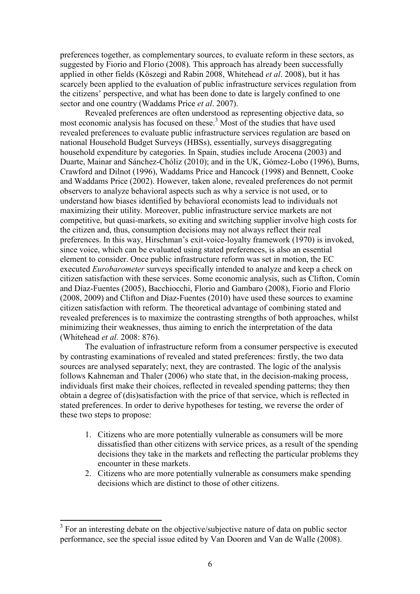preferences together, as complementary sources, to evaluate reform in these sectors, as suggested by Fiorio and Florio (2008). This approach has already been successfully applied in other fields (Köszegi and Rabin 2008, Whitehead et al. 2008), but it has scarcely been applied to the evaluation of public infrastructure services regulation from the citizens' perspective, and what has been done to date is largely confined to one sector and one country (Waddams Price et al. 2007).

Revealed preferences are often understood as representing objective data, so most economic analysis has focused on these.<sup>3</sup> Most of the studies that have used revealed preferences to evaluate public infrastructure services regulation are based on national Household Budget Surveys (HBSs), essentially, surveys disaggregating household expenditure by categories. In Spain, studies include Arocena (2003) and Duarte, Mainar and Sánchez-Chóliz (2010); and in the UK, Gómez-Lobo (1996), Burns, Crawford and Dilnot (1996), Waddams Price and Hancock (1998) and Bennett, Cooke and Waddams Price (2002). However, taken alone, revealed preferences do not permit observers to analyze behavioral aspects such as why a service is not used, or to understand how biases identified by behavioral economists lead to individuals not maximizing their utility. Moreover, public infrastructure service markets are not competitive, but quasi-markets, so exiting and switching supplier involve high costs for the citizen and, thus, consumption decisions may not always reflect their real preferences. In this way, Hirschman's exit-voice-loyalty framework (1970) is invoked, since voice, which can be evaluated using stated preferences, is also an essential element to consider. Once public infrastructure reform was set in motion, the EC executed *Eurobarometer* surveys specifically intended to analyze and keep a check on citizen satisfaction with these services. Some economic analysis, such as Clifton, Comin and Díaz-Fuentes (2005), Bacchiocchi, Florio and Gambaro (2008), Fiorio and Florio (2008, 2009) and Clifton and Díaz-Fuentes (2010) have used these sources to examine citizen satisfaction with reform. The theoretical advantage of combining stated and revealed preferences is to maximize the contrasting strengths of both approaches, whilst minimizing their weaknesses, thus aiming to enrich the interpretation of the data (Whitehead et al. 2008: 876).

The evaluation of infrastructure reform from a consumer perspective is executed by contrasting examinations of revealed and stated preferences: firstly, the two data sources are analysed separately; next, they are contrasted. The logic of the analysis follows Kahneman and Thaler (2006) who state that, in the decision-making process, individuals first make their choices, reflected in revealed spending patterns; they then obtain a degree of (dis)satisfaction with the price of that service, which is reflected in stated preferences. In order to derive hypotheses for testing, we reverse the order of these two steps to propose:

- 1. Citizens who are more potentially vulnerable as consumers will be more dissatisfied than other citizens with service prices, as a result of the spending decisions they take in the markets and reflecting the particular problems they encounter in these markets.
- 2. Citizens who are more potentially vulnerable as consumers make spending decisions which are distinct to those of other citizens

<sup>&</sup>lt;sup>3</sup> For an interesting debate on the objective/subjective nature of data on public sector performance, see the special issue edited by Van Dooren and Van de Walle (2008).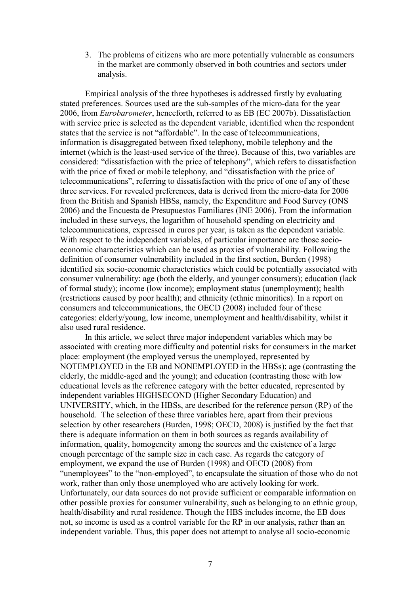3. The problems of citizens who are more potentially vulnerable as consumers in the market are commonly observed in both countries and sectors under analysis.

Empirical analysis of the three hypotheses is addressed firstly by evaluating stated preferences. Sources used are the sub-samples of the micro-data for the year 2006, from *Eurobarometer*, henceforth, referred to as EB (EC 2007b). Dissatisfaction with service price is selected as the dependent variable, identified when the respondent states that the service is not "affordable". In the case of telecommunications, information is disaggregated between fixed telephony, mobile telephony and the internet (which is the least-used service of the three). Because of this, two variables are considered: "dissatisfaction with the price of telephony", which refers to dissatisfaction with the price of fixed or mobile telephony, and "dissatisfaction with the price of telecommunications", referring to dissatisfaction with the price of one of any of these three services. For revealed preferences, data is derived from the micro-data for 2006 from the British and Spanish HBSs, namely, the Expenditure and Food Survey (ONS 2006) and the Encuesta de Presupuestos Familiares (INE 2006). From the information included in these surveys, the logarithm of household spending on electricity and telecommunications, expressed in euros per year, is taken as the dependent variable. With respect to the independent variables, of particular importance are those socioeconomic characteristics which can be used as proxies of vulnerability. Following the definition of consumer vulnerability included in the first section. Burden (1998) identified six socio-economic characteristics which could be potentially associated with consumer vulnerability: age (both the elderly, and younger consumers); education (lack of formal study); income (low income); employment status (unemployment); health (restrictions caused by poor health); and ethnicity (ethnic minorities). In a report on consumers and telecommunications, the OECD (2008) included four of these categories: elderly/young, low income, unemployment and health/disability, whilst it also used rural residence.

In this article, we select three major independent variables which may be associated with creating more difficulty and potential risks for consumers in the market place: employment (the employed versus the unemployed, represented by NOTEMPLOYED in the EB and NONEMPLOYED in the HBSs); age (contrasting the elderly, the middle-aged and the young); and education (contrasting those with low educational levels as the reference category with the better educated, represented by independent variables HIGHSECOND (Higher Secondary Education) and UNIVERSITY, which, in the HBSs, are described for the reference person (RP) of the household. The selection of these three variables here, apart from their previous selection by other researchers (Burden, 1998; OECD, 2008) is justified by the fact that there is adequate information on them in both sources as regards availability of information, quality, homogeneity among the sources and the existence of a large enough percentage of the sample size in each case. As regards the category of employment, we expand the use of Burden (1998) and OECD (2008) from "unemployees" to the "non-employed", to encapsulate the situation of those who do not work, rather than only those unemployed who are actively looking for work. Unfortunately, our data sources do not provide sufficient or comparable information on other possible proxies for consumer vulnerability, such as belonging to an ethnic group, health/disability and rural residence. Though the HBS includes income, the EB does not, so income is used as a control variable for the RP in our analysis, rather than an independent variable. Thus, this paper does not attempt to analyse all socio-economic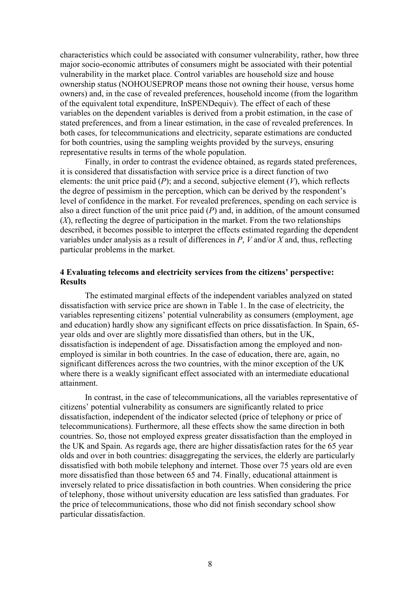characteristics which could be associated with consumer vulnerability, rather, how three major socio-economic attributes of consumers might be associated with their potential vulnerability in the market place. Control variables are household size and house ownership status (NOHOUSEPROP means those not owning their house, versus home owners) and, in the case of revealed preferences, household income (from the logarithm of the equivalent total expenditure, InSPENDequiv). The effect of each of these variables on the dependent variables is derived from a probit estimation, in the case of stated preferences, and from a linear estimation, in the case of revealed preferences. In both cases, for telecommunications and electricity, separate estimations are conducted for both countries, using the sampling weights provided by the surveys, ensuring representative results in terms of the whole population.

Finally, in order to contrast the evidence obtained, as regards stated preferences, it is considered that dissatisfaction with service price is a direct function of two elements: the unit price paid  $(P)$ ; and a second, subjective element  $(V)$ , which reflects the degree of pessimism in the perception, which can be derived by the respondent's level of confidence in the market. For revealed preferences, spending on each service is also a direct function of the unit price paid  $(P)$  and, in addition, of the amount consumed  $(X)$ , reflecting the degree of participation in the market. From the two relationships described, it becomes possible to interpret the effects estimated regarding the dependent variables under analysis as a result of differences in  $P$ ,  $V$  and/or  $X$  and, thus, reflecting particular problems in the market.

#### 4 Evaluating telecoms and electricity services from the citizens' perspective: **Results**

The estimated marginal effects of the independent variables analyzed on stated dissatisfaction with service price are shown in Table 1. In the case of electricity, the variables representing citizens' potential vulnerability as consumers (employment, age and education) hardly show any significant effects on price dissatisfaction. In Spain, 65year olds and over are slightly more dissatisfied than others, but in the UK, dissatisfaction is independent of age. Dissatisfaction among the employed and nonemployed is similar in both countries. In the case of education, there are, again, no significant differences across the two countries, with the minor exception of the UK where there is a weakly significant effect associated with an intermediate educational attainment.

In contrast, in the case of telecommunications, all the variables representative of citizens' potential vulnerability as consumers are significantly related to price dissatisfaction, independent of the indicator selected (price of telephony or price of telecommunications). Furthermore, all these effects show the same direction in both countries. So, those not employed express greater dissatisfaction than the employed in the UK and Spain. As regards age, there are higher dissatisfaction rates for the 65 year olds and over in both countries: disaggregating the services, the elderly are particularly dissatisfied with both mobile telephony and internet. Those over 75 years old are even more dissatisfied than those between 65 and 74. Finally, educational attainment is inversely related to price dissatisfaction in both countries. When considering the price of telephony, those without university education are less satisfied than graduates. For the price of telecommunications, those who did not finish secondary school show particular dissatisfaction.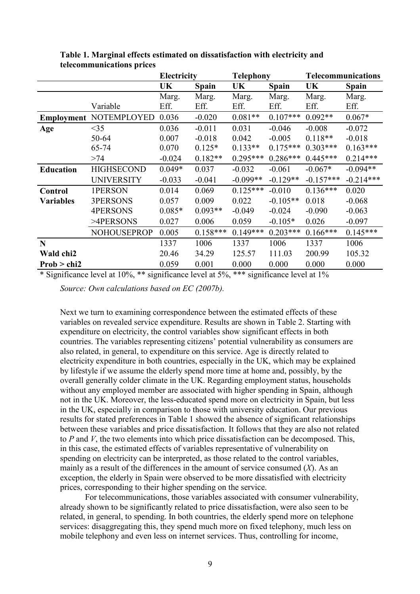|                  |                        | Electricity |              | Telephony  |              | <b>Telecommunications</b> |              |
|------------------|------------------------|-------------|--------------|------------|--------------|---------------------------|--------------|
|                  |                        | UK          | <b>Spain</b> | UK         | <b>Spain</b> | UK                        | <b>Spain</b> |
|                  |                        | Marg.       | Marg.        | Marg.      | Marg.        | Marg.                     | Marg.        |
|                  | Variable               | Eff.        | Eff.         | Eff.       | Eff.         | Eff.                      | Eff.         |
|                  | Employment NOTEMPLOYED | 0.036       | $-0.020$     | $0.081**$  | $0.107***$   | $0.092**$                 | $0.067*$     |
| Age              | <35                    | 0.036       | $-0.011$     | 0.031      | $-0.046$     | $-0.008$                  | $-0.072$     |
|                  | 50-64                  | 0.007       | $-0.018$     | 0.042      | $-0.005$     | $0.118**$                 | $-0.018$     |
|                  | 65-74                  | 0.070       | $0.125*$     | $0.133**$  | $0.175***$   | $0.303***$                | $0.163***$   |
|                  | >74                    | $-0.024$    | $0.182**$    | $0.295***$ | $0.286***$   | $0.445***$                | $0.214***$   |
| <b>Education</b> | <b>HIGHSECOND</b>      | $0.049*$    | 0.037        | $-0.032$   | $-0.061$     | $-0.067*$                 | $-0.094**$   |
|                  | <b>UNIVERSITY</b>      | $-0.033$    | $-0.041$     | $-0.099**$ | $-0.129**$   | $-0.157***$               | $-0.214***$  |
| Control          | 1PERSON                | 0.014       | 0.069        | $0.125***$ | $-0.010$     | $0.136***$                | 0.020        |
| <b>Variables</b> | 3PERSONS               | 0.057       | 0.009        | 0.022      | $-0.105**$   | 0.018                     | $-0.068$     |
|                  | <b>4PERSONS</b>        | $0.085*$    | $0.093**$    | $-0.049$   | $-0.024$     | $-0.090$                  | $-0.063$     |
|                  | >4PERSONS              | 0.027       | 0.006        | 0.059      | $-0.105*$    | 0.026                     | $-0.097$     |
|                  | <b>NOHOUSEPROP</b>     | 0.005       | $0.158***$   | $0.149***$ | $0.203***$   | $0.166***$                | $0.145***$   |
| N                |                        | 1337        | 1006         | 1337       | 1006         | 1337                      | 1006         |
| Wald chi2        |                        | 20.46       | 34.29        | 125.57     | 111.03       | 200.99                    | 105.32       |
| Prob > chi2      |                        | 0.059       | 0.001        | 0.000      | 0.000        | 0.000                     | 0.000        |

Table 1. Marginal effects estimated on dissatisfaction with electricity and telecommunications prices

\* Significance level at 10%, \*\* significance level at 5%, \*\*\* significance level at 1%

Source: Own calculations based on EC (2007b).

Next we turn to examining correspondence between the estimated effects of these variables on revealed service expenditure. Results are shown in Table 2. Starting with expenditure on electricity, the control variables show significant effects in both countries. The variables representing citizens' potential vulnerability as consumers are also related, in general, to expenditure on this service. Age is directly related to electricity expenditure in both countries, especially in the UK, which may be explained by lifestyle if we assume the elderly spend more time at home and, possibly, by the overall generally colder climate in the UK. Regarding employment status, households without any employed member are associated with higher spending in Spain, although not in the UK. Moreover, the less-educated spend more on electricity in Spain, but less in the UK, especially in comparison to those with university education. Our previous results for stated preferences in Table 1 showed the absence of significant relationships between these variables and price dissatisfaction. It follows that they are also not related to  $P$  and  $V$ , the two elements into which price dissatisfaction can be decomposed. This, in this case, the estimated effects of variables representative of vulnerability on spending on electricity can be interpreted, as those related to the control variables, mainly as a result of the differences in the amount of service consumed  $(X)$ . As an exception, the elderly in Spain were observed to be more dissatisfied with electricity prices, corresponding to their higher spending on the service.

For telecommunications, those variables associated with consumer vulnerability, already shown to be significantly related to price dissatisfaction, were also seen to be related, in general, to spending. In both countries, the elderly spend more on telephone services: disaggregating this, they spend much more on fixed telephony, much less on mobile telephony and even less on internet services. Thus, controlling for income,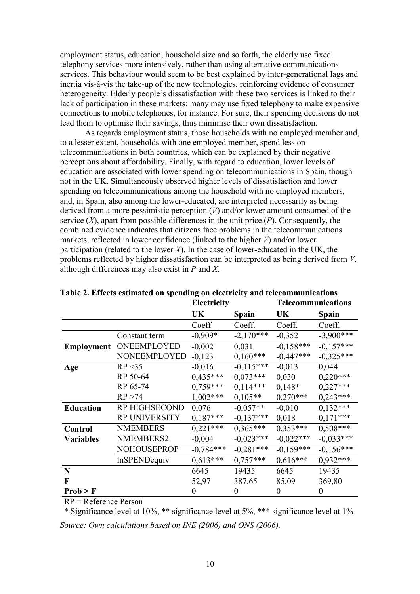employment status, education, household size and so forth, the elderly use fixed telephony services more intensively, rather than using alternative communications services. This behaviour would seem to be best explained by inter-generational lags and inertia vis-à-vis the take-up of the new technologies, reinforcing evidence of consumer heterogeneity. Elderly people's dissatisfaction with these two services is linked to their lack of participation in these markets: many may use fixed telephony to make expensive connections to mobile telephones, for instance. For sure, their spending decisions do not lead them to optimise their savings, thus minimise their own dissatisfaction.

As regards employment status, those households with no employed member and. to a lesser extent, households with one employed member, spend less on telecommunications in both countries, which can be explained by their negative perceptions about affordability. Finally, with regard to education, lower levels of education are associated with lower spending on telecommunications in Spain, though not in the UK. Simultaneously observed higher levels of dissatisfaction and lower spending on telecommunications among the household with no employed members, and, in Spain, also among the lower-educated, are interpreted necessarily as being derived from a more pessimistic perception  $(V)$  and/or lower amount consumed of the service  $(X)$ , apart from possible differences in the unit price  $(P)$ . Consequently, the combined evidence indicates that citizens face problems in the telecommunications markets, reflected in lower confidence (linked to the higher  $V$ ) and/or lower participation (related to the lower  $X$ ). In the case of lower-educated in the UK, the problems reflected by higher dissatisfaction can be interpreted as being derived from V. although differences may also exist in  $P$  and  $X$ .

|                  |                      | <b>Electricity</b> |                  | Telecommunications |                |  |
|------------------|----------------------|--------------------|------------------|--------------------|----------------|--|
|                  |                      | UK                 | Spain            | UK                 | <b>Spain</b>   |  |
|                  |                      | Coeff.             | Coeff.           | Coeff.             | Coeff.         |  |
|                  | Constant term        | $-0.909*$          | $-2,170***$      | $-0,352$           | $-3,900***$    |  |
| Employment       | ONEEMPLOYED          | $-0,002$           | 0,031            | $-0.158***$        | $-0,157***$    |  |
|                  | NONEEMPLOYED         | $-0,123$           | $0,160***$       | $-0,447***$        | $-0.325***$    |  |
| Age              | RP < 35              | $-0,016$           | $-0,115***$      | $-0,013$           | 0,044          |  |
|                  | RP 50-64             | $0,435***$         | $0.073***$       | 0,030              | $0,220***$     |  |
|                  | RP 65-74             | $0,759***$         | $0,114***$       | $0,148*$           | $0,227***$     |  |
|                  | RP > 74              | $1,002***$         | $0,105**$        | $0,270***$         | $0,243***$     |  |
| <b>Education</b> | <b>RP HIGHSECOND</b> | 0,076              | $-0.057**$       | $-0,010$           | $0,132***$     |  |
|                  | <b>RP UNIVERSITY</b> | $0,187***$         | $-0.137***$      | 0,018              | $0,171***$     |  |
| <b>Control</b>   | <b>NMEMBERS</b>      | $0,221***$         | $0,365***$       | $0.353***$         | $0,508***$     |  |
| <b>Variables</b> | NMEMBERS2            | $-0,004$           | $-0.023***$      | $-0,022***$        | $-0,033***$    |  |
|                  | <b>NOHOUSEPROP</b>   | $-0,784***$        | $-0,281***$      | $-0.159***$        | $-0,156***$    |  |
|                  | <b>lnSPENDequiv</b>  | $0.613***$         | $0,757***$       | $0,616***$         | $0,932***$     |  |
| N                |                      | 6645               | 19435            | 6645               | 19435          |  |
| $\mathbf F$      |                      | 52,97              | 387.65           | 85,09              | 369,80         |  |
| Prob > F         |                      | 0                  | $\boldsymbol{0}$ | $\boldsymbol{0}$   | $\overline{0}$ |  |

Table 2. Effects estimated on spending on electricity and telecommunications

 $RP =$  Reference Person

\* Significance level at 10%, \*\* significance level at 5%, \*\*\* significance level at 1% Source: Own calculations based on INE (2006) and ONS (2006).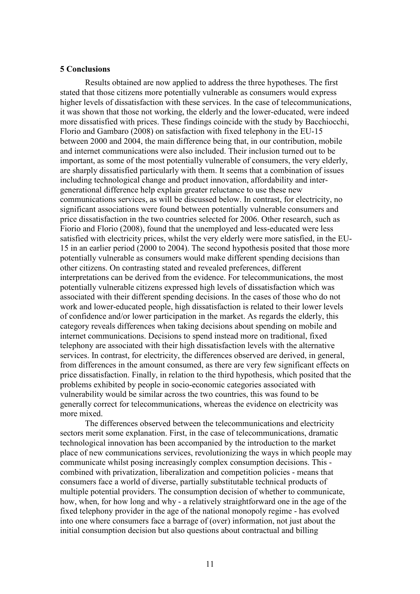#### **5 Conclusions**

Results obtained are now applied to address the three hypotheses. The first stated that those citizens more potentially vulnerable as consumers would express higher levels of dissatisfaction with these services. In the case of telecommunications, it was shown that those not working, the elderly and the lower-educated, were indeed more dissatisfied with prices. These findings coincide with the study by Bacchiocchi. Florio and Gambaro (2008) on satisfaction with fixed telephony in the EU-15 between 2000 and 2004, the main difference being that, in our contribution, mobile and internet communications were also included. Their inclusion turned out to be important, as some of the most potentially vulnerable of consumers, the very elderly, are sharply dissatisfied particularly with them. It seems that a combination of issues including technological change and product innovation, affordability and intergenerational difference help explain greater reluctance to use these new communications services, as will be discussed below. In contrast, for electricity, no significant associations were found between potentially vulnerable consumers and price dissatisfaction in the two countries selected for 2006. Other research. such as Fiorio and Florio (2008), found that the unemployed and less-educated were less satisfied with electricity prices, whilst the very elderly were more satisfied, in the EU-15 in an earlier period (2000 to 2004). The second hypothesis posited that those more potentially vulnerable as consumers would make different spending decisions than other citizens. On contrasting stated and revealed preferences, different interpretations can be derived from the evidence. For telecommunications, the most potentially vulnerable citizens expressed high levels of dissatisfaction which was associated with their different spending decisions. In the cases of those who do not work and lower-educated people, high dissatisfaction is related to their lower levels of confidence and/or lower participation in the market. As regards the elderly, this category reveals differences when taking decisions about spending on mobile and internet communications. Decisions to spend instead more on traditional, fixed telephony are associated with their high dissatisfaction levels with the alternative services. In contrast, for electricity, the differences observed are derived, in general, from differences in the amount consumed, as there are very few significant effects on price dissatisfaction. Finally, in relation to the third hypothesis, which posited that the problems exhibited by people in socio-economic categories associated with vulnerability would be similar across the two countries, this was found to be generally correct for telecommunications, whereas the evidence on electricity was more mixed

The differences observed between the telecommunications and electricity sectors merit some explanation. First, in the case of telecommunications, dramatic technological innovation has been accompanied by the introduction to the market place of new communications services, revolutionizing the ways in which people may communicate whilst posing increasingly complex consumption decisions. This combined with privatization, liberalization and competition policies - means that consumers face a world of diverse, partially substitutable technical products of multiple potential providers. The consumption decision of whether to communicate, how, when, for how long and why - a relatively straightforward one in the age of the fixed telephony provider in the age of the national monopoly regime - has evolved into one where consumers face a barrage of (over) information, not just about the initial consumption decision but also questions about contractual and billing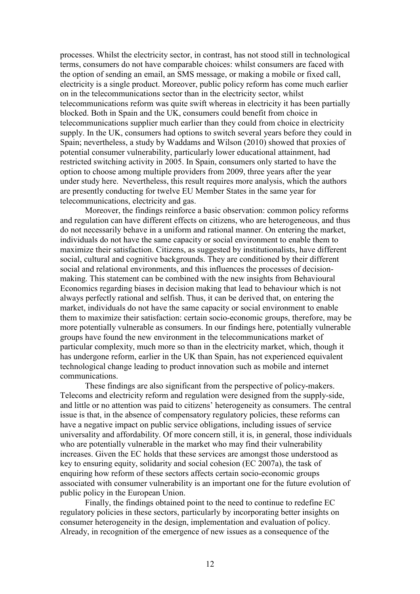processes. Whilst the electricity sector, in contrast, has not stood still in technological terms, consumers do not have comparable choices: whilst consumers are faced with the option of sending an email, an SMS message, or making a mobile or fixed call, electricity is a single product. Moreover, public policy reform has come much earlier on in the telecommunications sector than in the electricity sector, whilst telecommunications reform was quite swift whereas in electricity it has been partially blocked. Both in Spain and the UK, consumers could benefit from choice in telecommunications supplier much earlier than they could from choice in electricity supply. In the UK, consumers had options to switch several years before they could in Spain; nevertheless, a study by Waddams and Wilson (2010) showed that proxies of potential consumer vulnerability, particularly lower educational attainment, had restricted switching activity in 2005. In Spain, consumers only started to have the option to choose among multiple providers from 2009, three years after the year under study here. Nevertheless, this result requires more analysis, which the authors are presently conducting for twelve EU Member States in the same year for telecommunications, electricity and gas.

Moreover, the findings reinforce a basic observation: common policy reforms and regulation can have different effects on citizens, who are heterogeneous, and thus do not necessarily behave in a uniform and rational manner. On entering the market, individuals do not have the same capacity or social environment to enable them to maximize their satisfaction. Citizens, as suggested by institutionalists, have different social, cultural and cognitive backgrounds. They are conditioned by their different social and relational environments, and this influences the processes of decisionmaking. This statement can be combined with the new insights from Behavioural Economics regarding biases in decision making that lead to behaviour which is not always perfectly rational and selfish. Thus, it can be derived that, on entering the market, individuals do not have the same capacity or social environment to enable them to maximize their satisfaction: certain socio-economic groups, therefore, may be more potentially vulnerable as consumers. In our findings here, potentially vulnerable groups have found the new environment in the telecommunications market of particular complexity, much more so than in the electricity market, which, though it has undergone reform, earlier in the UK than Spain, has not experienced equivalent technological change leading to product innovation such as mobile and internet communications.

These findings are also significant from the perspective of policy-makers. Telecoms and electricity reform and regulation were designed from the supply-side. and little or no attention was paid to citizens' heterogeneity as consumers. The central issue is that, in the absence of compensatory regulatory policies, these reforms can have a negative impact on public service obligations, including issues of service universality and affordability. Of more concern still, it is, in general, those individuals who are potentially vulnerable in the market who may find their vulnerability increases. Given the EC holds that these services are amongst those understood as key to ensuring equity, solidarity and social cohesion (EC 2007a), the task of enquiring how reform of these sectors affects certain socio-economic groups associated with consumer vulnerability is an important one for the future evolution of public policy in the European Union.

Finally, the findings obtained point to the need to continue to redefine EC regulatory policies in these sectors, particularly by incorporating better insights on consumer heterogeneity in the design, implementation and evaluation of policy. Already, in recognition of the emergence of new issues as a consequence of the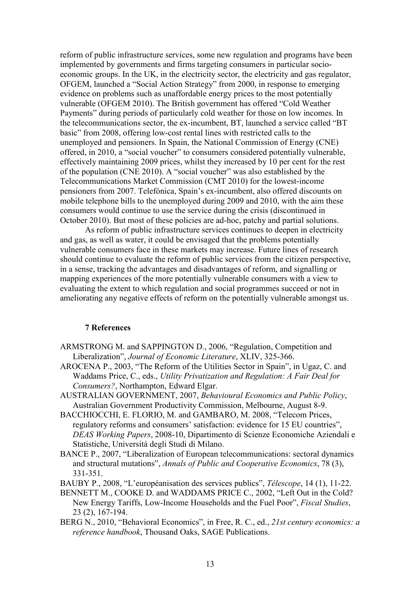reform of public infrastructure services, some new regulation and programs have been implemented by governments and firms targeting consumers in particular socioeconomic groups. In the UK, in the electricity sector, the electricity and gas regulator, OFGEM, launched a "Social Action Strategy" from 2000, in response to emerging evidence on problems such as unaffordable energy prices to the most potentially vulnerable (OFGEM 2010). The British government has offered "Cold Weather Payments" during periods of particularly cold weather for those on low incomes. In the telecommunications sector, the ex-incumbent, BT, launched a service called "BT basic" from 2008, offering low-cost rental lines with restricted calls to the unemployed and pensioners. In Spain, the National Commission of Energy (CNE) offered, in 2010, a "social voucher" to consumers considered potentially vulnerable. effectively maintaining 2009 prices, whilst they increased by 10 per cent for the rest of the population (CNE 2010). A "social voucher" was also established by the Telecommunications Market Commission (CMT 2010) for the lowest-income pensioners from 2007. Telefónica, Spain's ex-incumbent, also offered discounts on mobile telephone bills to the unemployed during 2009 and 2010, with the aim these consumers would continue to use the service during the crisis (discontinued in October 2010). But most of these policies are ad-hoc, patchy and partial solutions.

As reform of public infrastructure services continues to deepen in electricity and gas, as well as water, it could be envisaged that the problems potentially vulnerable consumers face in these markets may increase. Future lines of research should continue to evaluate the reform of public services from the citizen perspective. in a sense, tracking the advantages and disadvantages of reform, and signalling or mapping experiences of the more potentially vulnerable consumers with a view to evaluating the extent to which regulation and social programmes succeed or not in ameliorating any negative effects of reform on the potentially vulnerable amongst us.

#### **7 References**

- ARMSTRONG M. and SAPPINGTON D., 2006, "Regulation, Competition and Liberalization", Journal of Economic Literature, XLIV, 325-366.
- AROCENA P., 2003, "The Reform of the Utilities Sector in Spain", in Ugaz, C. and Waddams Price, C., eds., Utility Privatization and Regulation: A Fair Deal for Consumers?, Northampton, Edward Elgar.
- AUSTRALIAN GOVERNMENT, 2007, Behavioural Economics and Public Policy, Australian Government Productivity Commission, Melbourne, August 8-9.
- BACCHIOCCHI, E. FLORIO, M. and GAMBARO, M. 2008, "Telecom Prices, regulatory reforms and consumers' satisfaction: evidence for 15 EU countries", DEAS Working Papers, 2008-10, Dipartimento di Scienze Economiche Aziendali e Statistiche, Universitá degli Studi di Milano.
- BANCE P., 2007, "Liberalization of European telecommunications: sectoral dynamics and structural mutations", Annals of Public and Cooperative Economics, 78 (3), 331-351
- BAUBY P., 2008, "L'européanisation des services publics", Télescope, 14 (1), 11-22.
- BENNETT M., COOKE D. and WADDAMS PRICE C., 2002, "Left Out in the Cold? New Energy Tariffs, Low-Income Households and the Fuel Poor", *Fiscal Studies*, 23 (2), 167-194.
- BERG N., 2010, "Behavioral Economics", in Free, R. C., ed., 21st century economics: a reference handbook, Thousand Oaks, SAGE Publications.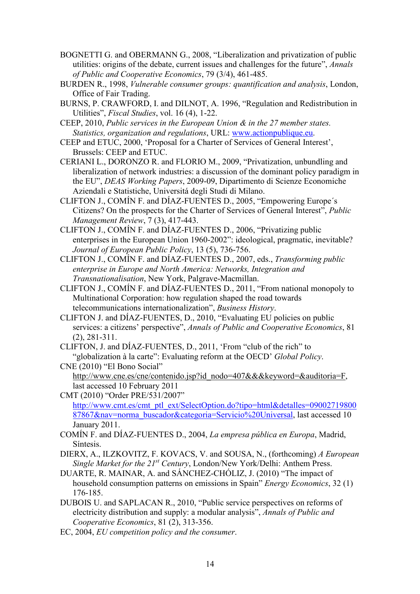- BOGNETTI G. and OBERMANN G., 2008, "Liberalization and privatization of public utilities: origins of the debate, current issues and challenges for the future", Annals of Public and Cooperative Economics, 79 (3/4), 461-485.
- BURDEN R., 1998, Vulnerable consumer groups: quantification and analysis, London, Office of Fair Trading.
- BURNS, P. CRAWFORD, I. and DILNOT, A. 1996, "Regulation and Redistribution in Utilities", *Fiscal Studies*, vol. 16 (4), 1-22.
- CEEP, 2010, Public services in the European Union  $\&$  in the 27 member states. Statistics, organization and regulations, URL: www.actionpublique.eu.
- CEEP and ETUC, 2000, 'Proposal for a Charter of Services of General Interest', Brussels: CEEP and ETUC.
- CERIANI L., DORONZO R. and FLORIO M., 2009, "Privatization, unbundling and liberalization of network industries: a discussion of the dominant policy paradigm in the EU", DEAS Working Papers, 2009-09, Dipartimento di Scienze Economiche Aziendali e Statistiche, Universitá degli Studi di Milano.
- CLIFTON J., COMIN F. and DIAZ-FUENTES D., 2005, "Empowering Europe's Citizens? On the prospects for the Charter of Services of General Interest", Public Management Review, 7 (3), 417-443.
- CLIFTON J., COMÍN F. and DÍAZ-FUENTES D., 2006, "Privatizing public enterprises in the European Union 1960-2002": ideological, pragmatic, inevitable? Journal of European Public Policy, 13 (5), 736-756.
- CLIFTON J., COMÍN F. and DÍAZ-FUENTES D., 2007. eds., *Transforming public* enterprise in Europe and North America: Networks, Integration and Transnationalisation, New York, Palgrave-Macmillan.
- CLIFTON J., COMÍN F. and DÍAZ-FUENTES D., 2011, "From national monopoly to Multinational Corporation: how regulation shaped the road towards telecommunications internationalization", Business History.
- CLIFTON J. and DÍAZ-FUENTES, D., 2010, "Evaluating EU policies on public services: a citizens' perspective", Annals of Public and Cooperative Economics, 81  $(2), 281-311.$
- CLIFTON, J. and DIAZ-FUENTES, D., 2011, 'From "club of the rich" to "globalization à la carte": Evaluating reform at the OECD' Global Policy.
- CNE (2010) "El Bono Social" http://www.cne.es/cne/contenido.jsp?id nodo=407&&&keyword=&auditoria=F, last accessed 10 February 2011
- CMT (2010) "Order PRE/531/2007" http://www.cmt.es/cmt\_ptl\_ext/SelectOption.do?tipo=html&detalles=09002719800 87867&nav=norma buscador&categoria=Servicio%20Universal, last accessed 10 January 2011.
- COMÍN F. and DÍAZ-FUENTES D., 2004, La empresa pública en Europa, Madrid, Síntesis.
- DIERX, A., ILZKOVITZ, F. KOVACS, V. and SOUSA, N., (forthcoming) A European Single Market for the 21<sup>st</sup> Century, London/New York/Delhi: Anthem Press.
- DUARTE, R. MAINAR, A. and SÁNCHEZ-CHÓLIZ, J. (2010) "The impact of household consumption patterns on emissions in Spain" *Energy Economics*, 32(1)  $176 - 185$
- DUBOIS U. and SAPLACAN R., 2010, "Public service perspectives on reforms of electricity distribution and supply: a modular analysis", Annals of Public and Cooperative Economics, 81 (2), 313-356.
- EC, 2004, EU competition policy and the consumer.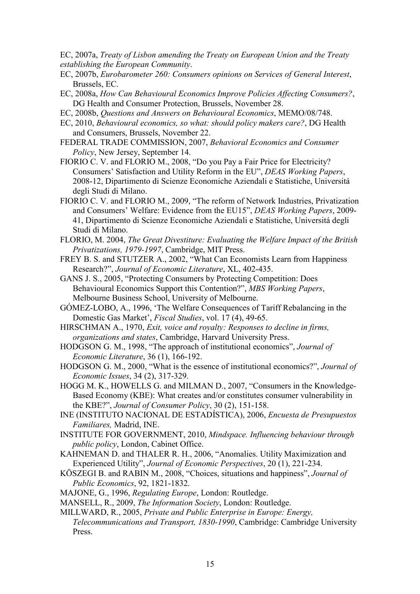EC, 2007a, *Treaty of Lisbon amending the Treaty on European Union and the Treaty* establishing the European Community.

- EC, 2007b, *Eurobarometer 260: Consumers opinions on Services of General Interest,* Brussels, EC.
- EC, 2008a, How Can Behavioural Economics Improve Policies Affecting Consumers?, DG Health and Consumer Protection, Brussels, November 28.
- EC, 2008b, Questions and Answers on Behavioural Economics, MEMO/08/748.
- EC, 2010, Behavioural economics, so what: should policy makers care?, DG Health and Consumers, Brussels, November 22.
- FEDERAL TRADE COMMISSION, 2007, Behavioral Economics and Consumer Policy, New Jersey, September 14.
- FIORIO C. V. and FLORIO M., 2008, "Do you Pay a Fair Price for Electricity? Consumers' Satisfaction and Utility Reform in the EU", *DEAS Working Papers*, 2008-12, Dipartimento di Scienze Economiche Aziendali e Statistiche, Universitá degli Studi di Milano.
- FIORIO C. V. and FLORIO M., 2009, "The reform of Network Industries, Privatization and Consumers' Welfare: Evidence from the EU15", *DEAS Working Papers*, 2009-41, Dipartimento di Scienze Economiche Aziendali e Statistiche, Universitá degli Studi di Milano.
- FLORIO, M. 2004, The Great Divestiture: Evaluating the Welfare Impact of the British Privatizations, 1979-1997, Cambridge, MIT Press.
- FREY B. S. and STUTZER A., 2002, "What Can Economists Learn from Happiness Research?", Journal of Economic Literature, XL, 402-435.
- GANS J. S., 2005, "Protecting Consumers by Protecting Competition: Does Behavioural Economics Support this Contention?", MBS Working Papers, Melbourne Business School, University of Melbourne.
- GOMEZ-LOBO, A., 1996, 'The Welfare Consequences of Tariff Rebalancing in the Domestic Gas Market', *Fiscal Studies*, vol. 17 (4), 49-65.
- HIRSCHMAN A., 1970, *Exit, voice and royalty: Responses to decline in firms,* organizations and states, Cambridge, Harvard University Press.
- HODGSON G. M., 1998, "The approach of institutional economics", Journal of *Economic Literature*, 36 (1), 166-192.
- HODGSON G. M., 2000, "What is the essence of institutional economics?", Journal of *Economic Issues*, 34 (2), 317-329.
- HOGG M. K., HOWELLS G. and MILMAN D., 2007, "Consumers in the Knowledge-Based Economy (KBE): What creates and/or constitutes consumer vulnerability in the KBE?", Journal of Consumer Policy,  $30(2)$ ,  $151-158$ .
- INE (INSTITUTO NACIONAL DE ESTADÍSTICA), 2006, *Encuesta de Presupuestos* Familiares, Madrid, INE.
- INSTITUTE FOR GOVERNMENT, 2010, Mindspace. Influencing behaviour through *public policy*, London, Cabinet Office.
- KAHNEMAN D. and THALER R. H., 2006, "Anomalies. Utility Maximization and Experienced Utility", Journal of Economic Perspectives, 20 (1), 221-234.
- KÖSZEGI B. and RABIN M., 2008, "Choices, situations and happiness", *Journal of Public Economics*, 92, 1821-1832.
- MAJONE, G., 1996, Regulating Europe, London: Routledge.
- MANSELL, R., 2009, The Information Society, London: Routledge.
- MILLWARD, R., 2005, Private and Public Enterprise in Europe: Energy, Telecommunications and Transport, 1830-1990, Cambridge: Cambridge University Press.